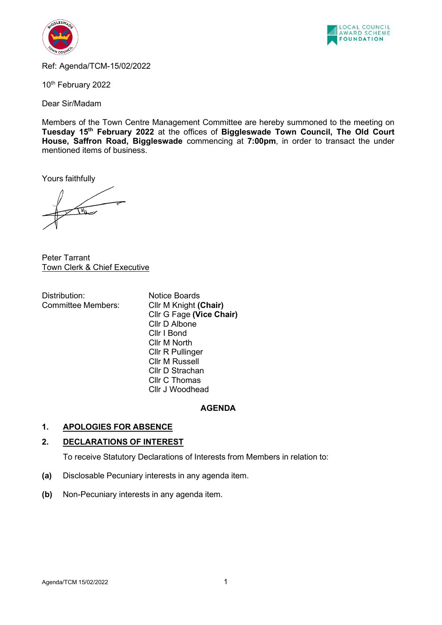



Ref: Agenda/TCM-15/02/2022

10<sup>th</sup> February 2022

Dear Sir/Madam

Members of the Town Centre Management Committee are hereby summoned to the meeting on **Tuesday 15th February 2022** at the offices of **Biggleswade Town Council, The Old Court House, Saffron Road, Biggleswade** commencing at **7:00pm**, in order to transact the under mentioned items of business.

Yours faithfully

Peter Tarrant Town Clerk & Chief Executive

Distribution: Notice Boards Committee Members: Cllr M Knight **(Chair)**

Cllr G Fage **(Vice Chair)** Cllr D Albone Cllr I Bond Cllr M North Cllr R Pullinger Cllr M Russell Cllr D Strachan Cllr C Thomas Cllr J Woodhead

## **AGENDA**

## **1. APOLOGIES FOR ABSENCE**

## **2. DECLARATIONS OF INTEREST**

To receive Statutory Declarations of Interests from Members in relation to:

- **(a)** Disclosable Pecuniary interests in any agenda item.
- **(b)** Non-Pecuniary interests in any agenda item.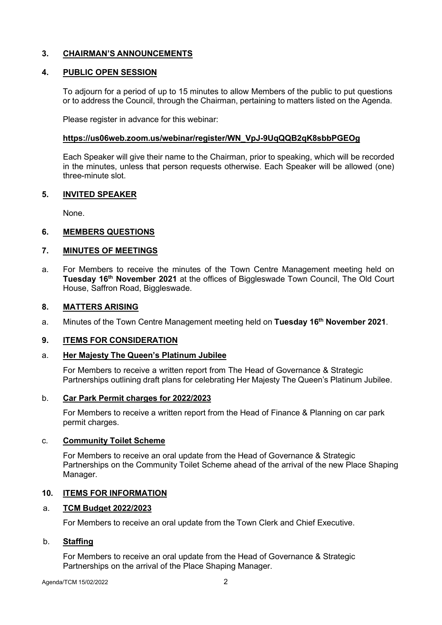## **3. CHAIRMAN'S ANNOUNCEMENTS**

## **4. PUBLIC OPEN SESSION**

To adjourn for a period of up to 15 minutes to allow Members of the public to put questions or to address the Council, through the Chairman, pertaining to matters listed on the Agenda.

Please register in advance for this webinar:

### **[https://us06web.zoom.us/webinar/register/WN\\_VpJ-9UqQQB2qK8sbbPGEOg](https://us06web.zoom.us/webinar/register/WN_VpJ-9UqQQB2qK8sbbPGEOg)**

Each Speaker will give their name to the Chairman, prior to speaking, which will be recorded in the minutes, unless that person requests otherwise. Each Speaker will be allowed (one) three-minute slot.

### **5. INVITED SPEAKER**

None.

### **6. MEMBERS QUESTIONS**

## **7. MINUTES OF MEETINGS**

a. For Members to receive the minutes of the Town Centre Management meeting held on **Tuesday 16th November 2021** at the offices of Biggleswade Town Council, The Old Court House, Saffron Road, Biggleswade.

### **8. MATTERS ARISING**

a. Minutes of the Town Centre Management meeting held on **Tuesday 16th November 2021**.

#### **9. ITEMS FOR CONSIDERATION**

#### a. **Her Majesty The Queen's Platinum Jubilee**

For Members to receive a written report from The Head of Governance & Strategic Partnerships outlining draft plans for celebrating Her Majesty The Queen's Platinum Jubilee.

#### b. **Car Park Permit charges for 2022/2023**

For Members to receive a written report from the Head of Finance & Planning on car park permit charges.

#### c. **Community Toilet Scheme**

For Members to receive an oral update from the Head of Governance & Strategic Partnerships on the Community Toilet Scheme ahead of the arrival of the new Place Shaping Manager.

#### **10. ITEMS FOR INFORMATION**

#### a. **TCM Budget 2022/2023**

For Members to receive an oral update from the Town Clerk and Chief Executive.

## b. **Staffing**

For Members to receive an oral update from the Head of Governance & Strategic Partnerships on the arrival of the Place Shaping Manager.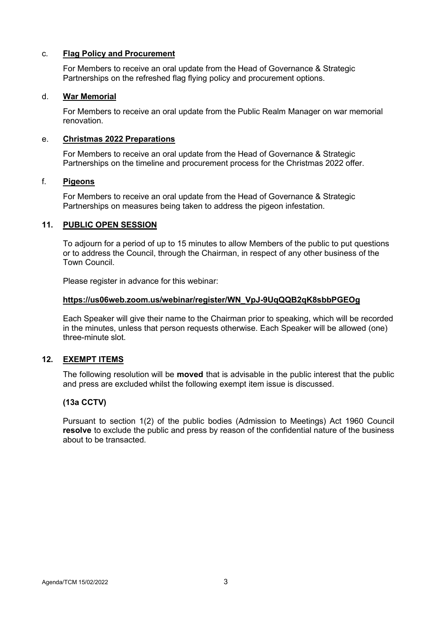## c. **Flag Policy and Procurement**

For Members to receive an oral update from the Head of Governance & Strategic Partnerships on the refreshed flag flying policy and procurement options.

### d. **War Memorial**

For Members to receive an oral update from the Public Realm Manager on war memorial renovation.

## e. **Christmas 2022 Preparations**

For Members to receive an oral update from the Head of Governance & Strategic Partnerships on the timeline and procurement process for the Christmas 2022 offer.

### f. **Pigeons**

For Members to receive an oral update from the Head of Governance & Strategic Partnerships on measures being taken to address the pigeon infestation.

### **11. PUBLIC OPEN SESSION**

To adjourn for a period of up to 15 minutes to allow Members of the public to put questions or to address the Council, through the Chairman, in respect of any other business of the Town Council.

Please register in advance for this webinar:

### **[https://us06web.zoom.us/webinar/register/WN\\_VpJ-9UqQQB2qK8sbbPGEOg](https://us06web.zoom.us/webinar/register/WN_VpJ-9UqQQB2qK8sbbPGEOg)**

Each Speaker will give their name to the Chairman prior to speaking, which will be recorded in the minutes, unless that person requests otherwise. Each Speaker will be allowed (one) three-minute slot.

## **12. EXEMPT ITEMS**

The following resolution will be **moved** that is advisable in the public interest that the public and press are excluded whilst the following exempt item issue is discussed.

## **(13a CCTV)**

Pursuant to section 1(2) of the public bodies (Admission to Meetings) Act 1960 Council **resolve** to exclude the public and press by reason of the confidential nature of the business about to be transacted.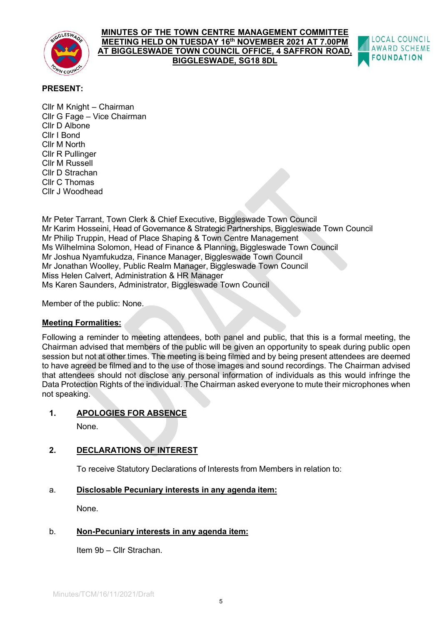

#### **MINUTES OF THE TOWN CENTRE MANAGEMENT COMMITTEE MEETING HELD ON TUESDAY 16th NOVEMBER 2021 AT 7.00PM AT BIGGLESWADE TOWN COUNCIL OFFICE, 4 SAFFRON ROAD, BIGGLESWADE, SG18 8DL**



## **PRESENT:**

Cllr M Knight – Chairman Cllr G Fage – Vice Chairman Cllr D Albone Cllr I Bond Cllr M North Cllr R Pullinger Cllr M Russell Cllr D Strachan Cllr C Thomas Cllr J Woodhead

Mr Peter Tarrant, Town Clerk & Chief Executive, Biggleswade Town Council Mr Karim Hosseini, Head of Governance & Strategic Partnerships, Biggleswade Town Council Mr Philip Truppin, Head of Place Shaping & Town Centre Management Ms Wilhelmina Solomon, Head of Finance & Planning, Biggleswade Town Council Mr Joshua Nyamfukudza, Finance Manager, Biggleswade Town Council Mr Jonathan Woolley, Public Realm Manager, Biggleswade Town Council Miss Helen Calvert, Administration & HR Manager Ms Karen Saunders, Administrator, Biggleswade Town Council

Member of the public: None.

## **Meeting Formalities:**

Following a reminder to meeting attendees, both panel and public, that this is a formal meeting, the Chairman advised that members of the public will be given an opportunity to speak during public open session but not at other times. The meeting is being filmed and by being present attendees are deemed to have agreed be filmed and to the use of those images and sound recordings. The Chairman advised that attendees should not disclose any personal information of individuals as this would infringe the Data Protection Rights of the individual. The Chairman asked everyone to mute their microphones when not speaking.

## **1. APOLOGIES FOR ABSENCE**

None.

## **2. DECLARATIONS OF INTEREST**

To receive Statutory Declarations of Interests from Members in relation to:

## a. **Disclosable Pecuniary interests in any agenda item:**

None.

## b. **Non-Pecuniary interests in any agenda item:**

Item 9b – Cllr Strachan.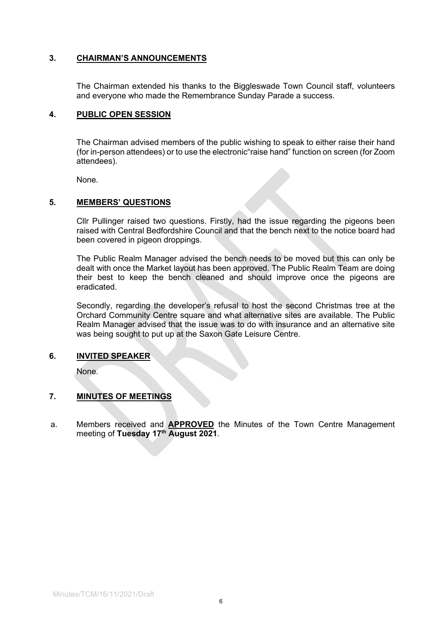## **3. CHAIRMAN'S ANNOUNCEMENTS**

The Chairman extended his thanks to the Biggleswade Town Council staff, volunteers and everyone who made the Remembrance Sunday Parade a success.

#### **4. PUBLIC OPEN SESSION**

The Chairman advised members of the public wishing to speak to either raise their hand (for in-person attendees) or to use the electronic"raise hand" function on screen (for Zoom attendees).

None.

### **5. MEMBERS' QUESTIONS**

Cllr Pullinger raised two questions. Firstly, had the issue regarding the pigeons been raised with Central Bedfordshire Council and that the bench next to the notice board had been covered in pigeon droppings.

The Public Realm Manager advised the bench needs to be moved but this can only be dealt with once the Market layout has been approved. The Public Realm Team are doing their best to keep the bench cleaned and should improve once the pigeons are eradicated.

Secondly, regarding the developer's refusal to host the second Christmas tree at the Orchard Community Centre square and what alternative sites are available. The Public Realm Manager advised that the issue was to do with insurance and an alternative site was being sought to put up at the Saxon Gate Leisure Centre.

#### **6. INVITED SPEAKER**

None.

## **7. MINUTES OF MEETINGS**

a. Members received and **APPROVED** the Minutes of the Town Centre Management meeting of **Tuesday 17th August 2021**.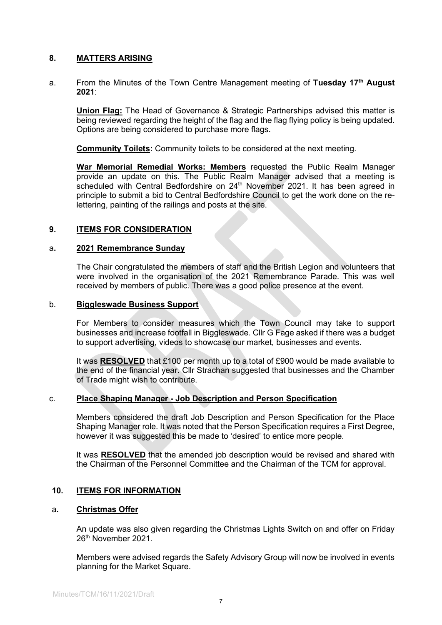## **8. MATTERS ARISING**

a. From the Minutes of the Town Centre Management meeting of **Tuesday 17th August 2021**:

**Union Flag:** The Head of Governance & Strategic Partnerships advised this matter is being reviewed regarding the height of the flag and the flag flying policy is being updated. Options are being considered to purchase more flags.

**Community Toilets:** Community toilets to be considered at the next meeting.

**War Memorial Remedial Works: Members** requested the Public Realm Manager provide an update on this. The Public Realm Manager advised that a meeting is scheduled with Central Bedfordshire on 24<sup>th</sup> November 2021. It has been agreed in principle to submit a bid to Central Bedfordshire Council to get the work done on the relettering, painting of the railings and posts at the site.

### **9. ITEMS FOR CONSIDERATION**

#### a**. 2021 Remembrance Sunday**

The Chair congratulated the members of staff and the British Legion and volunteers that were involved in the organisation of the 2021 Remembrance Parade. This was well received by members of public. There was a good police presence at the event.

#### b. **Biggleswade Business Support**

For Members to consider measures which the Town Council may take to support businesses and increase footfall in Biggleswade. Cllr G Fage asked if there was a budget to support advertising, videos to showcase our market, businesses and events.

It was **RESOLVED** that £100 per month up to a total of £900 would be made available to the end of the financial year. Cllr Strachan suggested that businesses and the Chamber of Trade might wish to contribute.

#### c. **Place Shaping Manager - Job Description and Person Specification**

Members considered the draft Job Description and Person Specification for the Place Shaping Manager role. It was noted that the Person Specification requires a First Degree, however it was suggested this be made to 'desired' to entice more people.

It was **RESOLVED** that the amended job description would be revised and shared with the Chairman of the Personnel Committee and the Chairman of the TCM for approval.

#### **10. ITEMS FOR INFORMATION**

#### a**. Christmas Offer**

An update was also given regarding the Christmas Lights Switch on and offer on Friday 26th November 2021.

Members were advised regards the Safety Advisory Group will now be involved in events planning for the Market Square.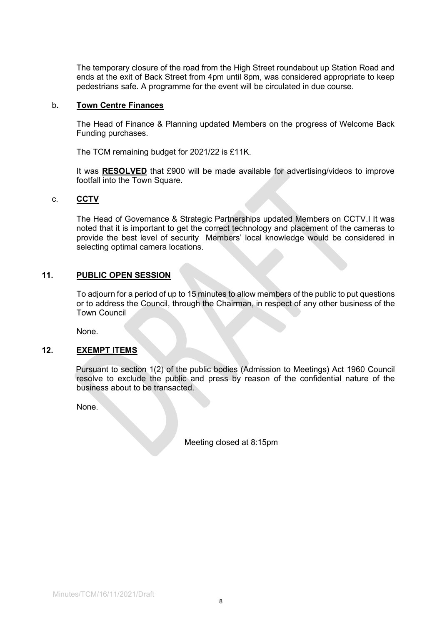The temporary closure of the road from the High Street roundabout up Station Road and ends at the exit of Back Street from 4pm until 8pm, was considered appropriate to keep pedestrians safe. A programme for the event will be circulated in due course.

#### b**. Town Centre Finances**

The Head of Finance & Planning updated Members on the progress of Welcome Back Funding purchases.

The TCM remaining budget for 2021/22 is £11K.

It was **RESOLVED** that £900 will be made available for advertising/videos to improve footfall into the Town Square.

#### c. **CCTV**

The Head of Governance & Strategic Partnerships updated Members on CCTV.I It was noted that it is important to get the correct technology and placement of the cameras to provide the best level of security Members' local knowledge would be considered in selecting optimal camera locations.

## **11. PUBLIC OPEN SESSION**

To adjourn for a period of up to 15 minutes to allow members of the public to put questions or to address the Council, through the Chairman, in respect of any other business of the Town Council

None.

#### **12. EXEMPT ITEMS**

Pursuant to section 1(2) of the public bodies (Admission to Meetings) Act 1960 Council resolve to exclude the public and press by reason of the confidential nature of the business about to be transacted.

None.

Meeting closed at 8:15pm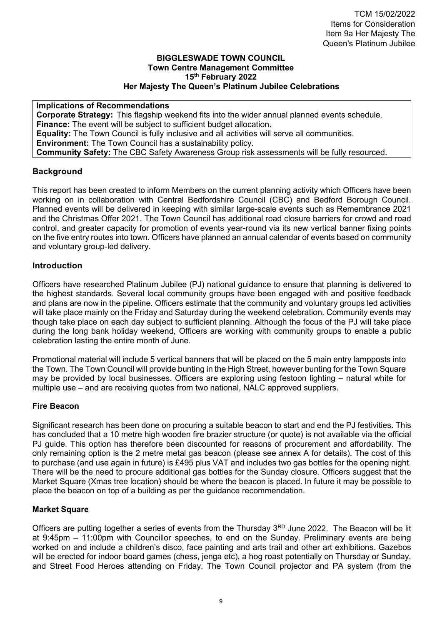### **BIGGLESWADE TOWN COUNCIL Town Centre Management Committee 15th February 2022 Her Majesty The Queen's Platinum Jubilee Celebrations**

**Implications of Recommendations Corporate Strategy:** This flagship weekend fits into the wider annual planned events schedule. **Finance:** The event will be subject to sufficient budget allocation. **Equality:** The Town Council is fully inclusive and all activities will serve all communities. **Environment:** The Town Council has a sustainability policy. **Community Safety:** The CBC Safety Awareness Group risk assessments will be fully resourced.

## **Background**

This report has been created to inform Members on the current planning activity which Officers have been working on in collaboration with Central Bedfordshire Council (CBC) and Bedford Borough Council. Planned events will be delivered in keeping with similar large-scale events such as Remembrance 2021 and the Christmas Offer 2021. The Town Council has additional road closure barriers for crowd and road control, and greater capacity for promotion of events year-round via its new vertical banner fixing points on the five entry routes into town. Officers have planned an annual calendar of events based on community and voluntary group-led delivery.

## **Introduction**

Officers have researched Platinum Jubilee (PJ) national guidance to ensure that planning is delivered to the highest standards. Several local community groups have been engaged with and positive feedback and plans are now in the pipeline. Officers estimate that the community and voluntary groups led activities will take place mainly on the Friday and Saturday during the weekend celebration. Community events may though take place on each day subject to sufficient planning. Although the focus of the PJ will take place during the long bank holiday weekend, Officers are working with community groups to enable a public celebration lasting the entire month of June.

Promotional material will include 5 vertical banners that will be placed on the 5 main entry lampposts into the Town. The Town Council will provide bunting in the High Street, however bunting for the Town Square may be provided by local businesses. Officers are exploring using festoon lighting – natural white for multiple use – and are receiving quotes from two national, NALC approved suppliers.

## **Fire Beacon**

Significant research has been done on procuring a suitable beacon to start and end the PJ festivities. This has concluded that a 10 metre high wooden fire brazier structure (or quote) is not available via the official PJ guide. This option has therefore been discounted for reasons of procurement and affordability. The only remaining option is the 2 metre metal gas beacon (please see annex A for details). The cost of this to purchase (and use again in future) is £495 plus VAT and includes two gas bottles for the opening night. There will be the need to procure additional gas bottles for the Sunday closure. Officers suggest that the Market Square (Xmas tree location) should be where the beacon is placed. In future it may be possible to place the beacon on top of a building as per the guidance recommendation.

## **Market Square**

Officers are putting together a series of events from the Thursday 3<sup>RD</sup> June 2022. The Beacon will be lit at 9:45pm – 11:00pm with Councillor speeches, to end on the Sunday. Preliminary events are being worked on and include a children's disco, face painting and arts trail and other art exhibitions. Gazebos will be erected for indoor board games (chess, jenga etc), a hog roast potentially on Thursday or Sunday, and Street Food Heroes attending on Friday. The Town Council projector and PA system (from the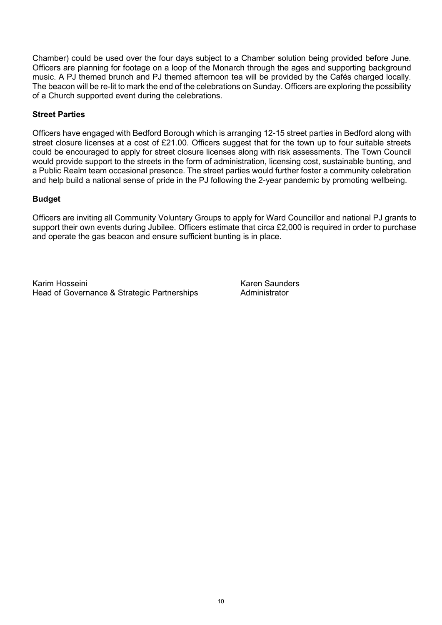Chamber) could be used over the four days subject to a Chamber solution being provided before June. Officers are planning for footage on a loop of the Monarch through the ages and supporting background music. A PJ themed brunch and PJ themed afternoon tea will be provided by the Cafés charged locally. The beacon will be re-lit to mark the end of the celebrations on Sunday. Officers are exploring the possibility of a Church supported event during the celebrations.

## **Street Parties**

Officers have engaged with Bedford Borough which is arranging 12-15 street parties in Bedford along with street closure licenses at a cost of £21.00. Officers suggest that for the town up to four suitable streets could be encouraged to apply for street closure licenses along with risk assessments. The Town Council would provide support to the streets in the form of administration, licensing cost, sustainable bunting, and a Public Realm team occasional presence. The street parties would further foster a community celebration and help build a national sense of pride in the PJ following the 2-year pandemic by promoting wellbeing.

## **Budget**

Officers are inviting all Community Voluntary Groups to apply for Ward Councillor and national PJ grants to support their own events during Jubilee. Officers estimate that circa £2,000 is required in order to purchase and operate the gas beacon and ensure sufficient bunting is in place.

Karim Hosseini Karen Saunders Head of Governance & Strategic Partnerships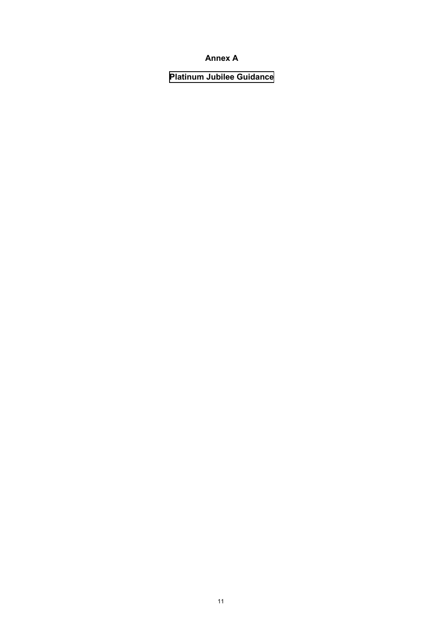## **Annex A**

**Platinum Jubilee Guidance**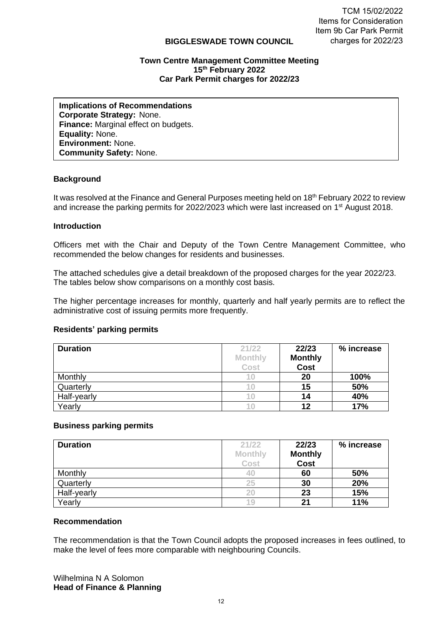#### **BIGGLESWADE TOWN COUNCIL**

#### **Town Centre Management Committee Meeting 15 th February 2022 Car Park Permit charges for 2022/23**

**Implications of Recommendations Corporate Strategy:** None. **Finance:** Marginal effect on budgets. **Equality:** None. **Environment:** None. **Community Safety:** None.

## **Background**

It was resolved at the Finance and General Purposes meeting held on 18<sup>th</sup> February 2022 to review and increase the parking permits for 2022/2023 which were last increased on 1<sup>st</sup> August 2018.

### **Introduction**

Officers met with the Chair and Deputy of the Town Centre Management Committee, who recommended the below changes for residents and businesses.

The attached schedules give a detail breakdown of the proposed charges for the year 2022/23. The tables below show comparisons on a monthly cost basis.

The higher percentage increases for monthly, quarterly and half yearly permits are to reflect the administrative cost of issuing permits more frequently.

#### **Residents' parking permits**

| <b>Duration</b> | 21/22          | 22/23          | % increase |
|-----------------|----------------|----------------|------------|
|                 | <b>Monthly</b> | <b>Monthly</b> |            |
|                 | Cost           | Cost           |            |
| Monthly         |                | 20             | 100%       |
| Quarterly       |                | 15             | 50%        |
| Half-yearly     | T U            | 14             | 40%        |
| Yearly          | 1 O            | 12             | 17%        |

#### **Business parking permits**

| <b>Duration</b> | 21/22          | 22/23          | % increase |
|-----------------|----------------|----------------|------------|
|                 | <b>Monthly</b> | <b>Monthly</b> |            |
|                 | Cost           | <b>Cost</b>    |            |
| Monthly         | 40             | 60             | 50%        |
| Quarterly       | 25             | 30             | 20%        |
| Half-yearly     | 20             | 23             | 15%        |
| Yearly          | 19             | 21             | 11%        |

#### **Recommendation**

The recommendation is that the Town Council adopts the proposed increases in fees outlined, to make the level of fees more comparable with neighbouring Councils.

Wilhelmina N A Solomon **Head of Finance & Planning**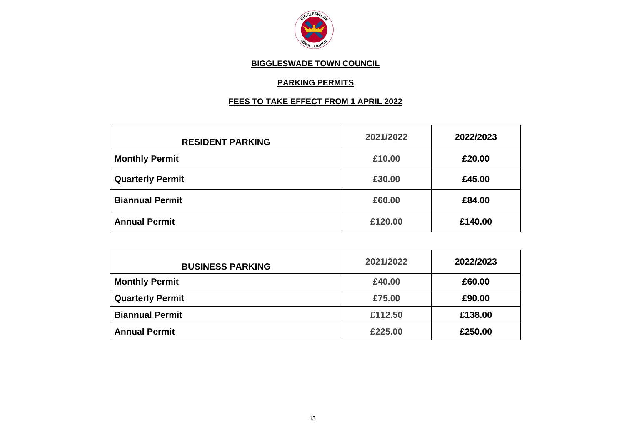

## **BIGGLESWADE TOWN COUNCIL**

## **PARKING PERMITS**

# **FEES TO TAKE EFFECT FROM 1 APRIL 2022**

| <b>RESIDENT PARKING</b> | 2021/2022 | 2022/2023 |
|-------------------------|-----------|-----------|
| <b>Monthly Permit</b>   | £10.00    | £20.00    |
| <b>Quarterly Permit</b> | £30.00    | £45.00    |
| <b>Biannual Permit</b>  | £60.00    | £84.00    |
| <b>Annual Permit</b>    | £120,00   | £140.00   |

| <b>BUSINESS PARKING</b> | 2021/2022 | 2022/2023 |
|-------------------------|-----------|-----------|
| <b>Monthly Permit</b>   | £40.00    | £60.00    |
| <b>Quarterly Permit</b> | £75.00    | £90.00    |
| <b>Biannual Permit</b>  | £112.50   | £138.00   |
| <b>Annual Permit</b>    | £225.00   | £250,00   |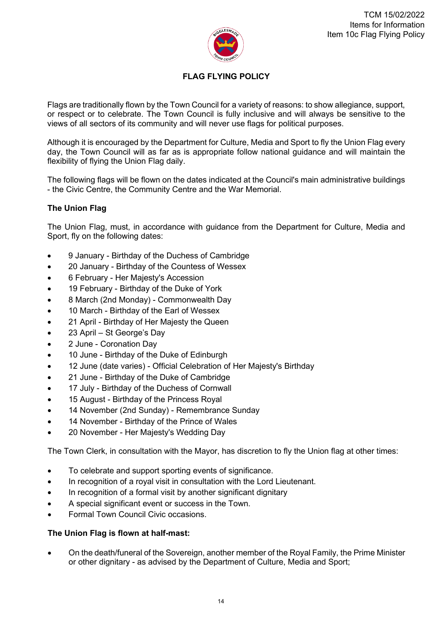

# **FLAG FLYING POLICY**

Flags are traditionally flown by the Town Council for a variety of reasons: to show allegiance, support, or respect or to celebrate. The Town Council is fully inclusive and will always be sensitive to the views of all sectors of its community and will never use flags for political purposes.

Although it is encouraged by the Department for Culture, Media and Sport to fly the Union Flag every day, the Town Council will as far as is appropriate follow national guidance and will maintain the flexibility of flying the Union Flag daily.

The following flags will be flown on the dates indicated at the Council's main administrative buildings - the Civic Centre, the Community Centre and the War Memorial.

## **The Union Flag**

The Union Flag, must, in accordance with guidance from the Department for Culture, Media and Sport, fly on the following dates:

- 9 January Birthday of the Duchess of Cambridge
- 20 January Birthday of the Countess of Wessex
- 6 February Her Majesty's Accession
- 19 February Birthday of the Duke of York
- 8 March (2nd Monday) Commonwealth Day
- 10 March Birthday of the Earl of Wessex
- 21 April Birthday of Her Majesty the Queen
- 23 April St George's Day
- 2 June Coronation Day
- 10 June Birthday of the Duke of Edinburgh
- 12 June (date varies) Official Celebration of Her Majesty's Birthday
- 21 June Birthday of the Duke of Cambridge
- 17 July Birthday of the Duchess of Cornwall
- 15 August Birthday of the Princess Royal
- 14 November (2nd Sunday) Remembrance Sunday
- 14 November Birthday of the Prince of Wales
- 20 November Her Majesty's Wedding Day

The Town Clerk, in consultation with the Mayor, has discretion to fly the Union flag at other times:

- To celebrate and support sporting events of significance.
- In recognition of a royal visit in consultation with the Lord Lieutenant.
- In recognition of a formal visit by another significant dignitary
- A special significant event or success in the Town.
- Formal Town Council Civic occasions.

## **The Union Flag is flown at half-mast:**

• On the death/funeral of the Sovereign, another member of the Royal Family, the Prime Minister or other dignitary - as advised by the Department of Culture, Media and Sport;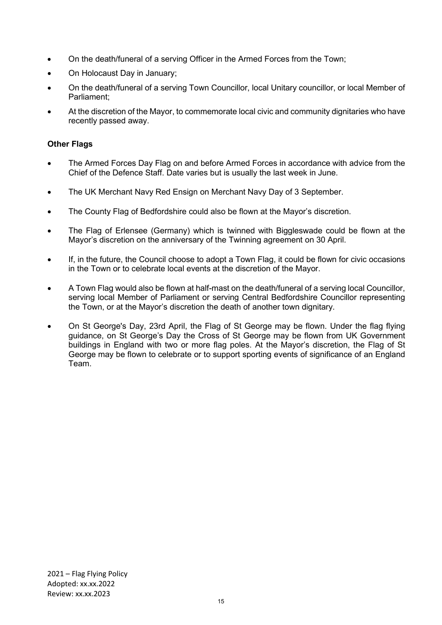- On the death/funeral of a serving Officer in the Armed Forces from the Town;
- On Holocaust Day in January;
- On the death/funeral of a serving Town Councillor, local Unitary councillor, or local Member of Parliament;
- At the discretion of the Mayor, to commemorate local civic and community dignitaries who have recently passed away.

## **Other Flags**

- The Armed Forces Day Flag on and before Armed Forces in accordance with advice from the Chief of the Defence Staff. Date varies but is usually the last week in June.
- The UK Merchant Navy Red Ensign on Merchant Navy Day of 3 September.
- The County Flag of Bedfordshire could also be flown at the Mayor's discretion.
- The Flag of Erlensee (Germany) which is twinned with Biggleswade could be flown at the Mayor's discretion on the anniversary of the Twinning agreement on 30 April.
- If, in the future, the Council choose to adopt a Town Flag, it could be flown for civic occasions in the Town or to celebrate local events at the discretion of the Mayor.
- A Town Flag would also be flown at half-mast on the death/funeral of a serving local Councillor, serving local Member of Parliament or serving Central Bedfordshire Councillor representing the Town, or at the Mayor's discretion the death of another town dignitary.
- On St George's Day, 23rd April, the Flag of St George may be flown. Under the flag flying guidance, on St George's Day the Cross of St George may be flown from UK Government buildings in England with two or more flag poles. At the Mayor's discretion, the Flag of St George may be flown to celebrate or to support sporting events of significance of an England Team.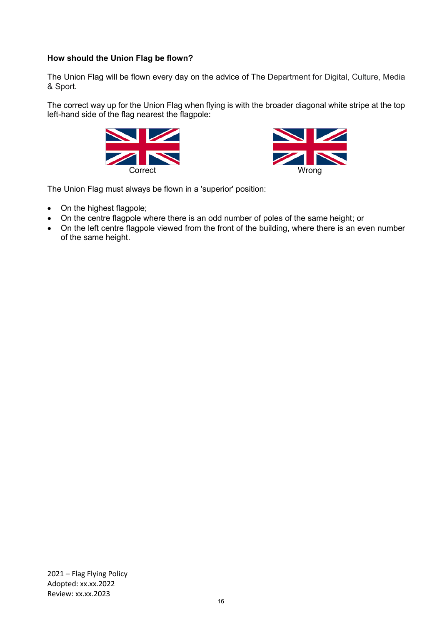## **How should the Union Flag be flown?**

The Union Flag will be flown every day on the advice of The Department for Digital, Culture, Media & Sport.

The correct way up for the Union Flag when flying is with the broader diagonal white stripe at the top left-hand side of the flag nearest the flagpole:





The Union Flag must always be flown in a 'superior' position:

- On the highest flagpole;
- On the centre flagpole where there is an odd number of poles of the same height; or
- On the left centre flagpole viewed from the front of the building, where there is an even number of the same height.